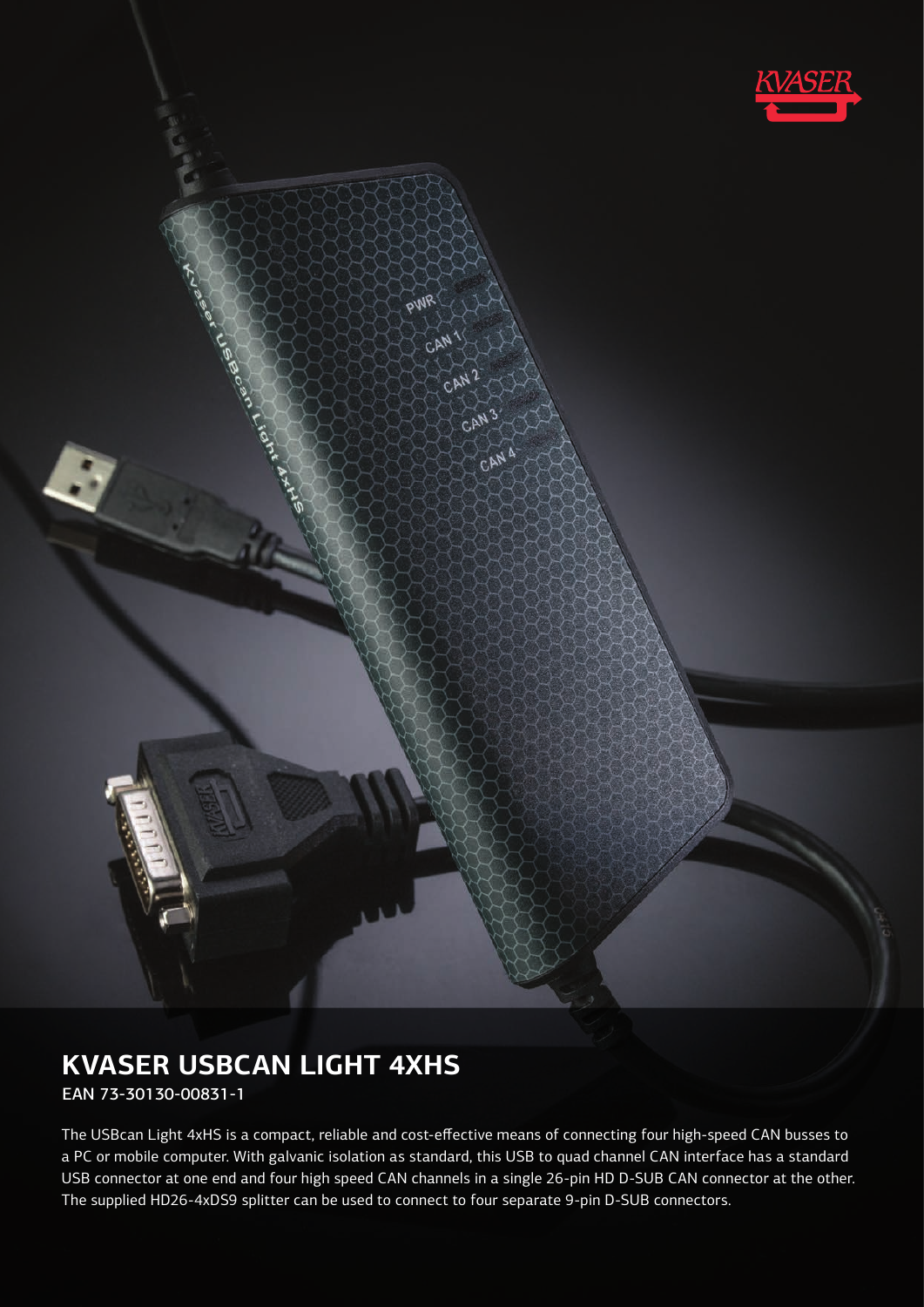

# **KVASER USBCAN LIGHT 4XHS**

EAN 73-30130-00831-1

The USBcan Light 4xHS is a compact, reliable and cost-effective means of connecting four high-speed CAN busses to a PC or mobile computer. With galvanic isolation as standard, this USB to quad channel CAN interface has a standard USB connector at one end and four high speed CAN channels in a single 26-pin HD D-SUB CAN connector at the other. The supplied HD26-4xDS9 splitter can be used to connect to four separate 9-pin D-SUB connectors.

PWR

CAN

CAN

CAT

CAN